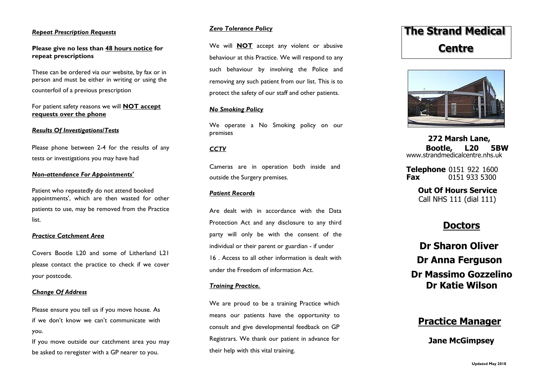## *Repeat Prescription Requests*

# **Please give no less than 48 hours notice for repeat prescriptions**

These can be ordered via our website, by fax or in person and must be either in writing or using the counterfoil of a previous prescription

For patient safety reasons we will **NOT accept requests over the phone**

## *Results Of Investigations/Tests*

Please phone between 2-4 for the results of any tests or investigations you may have had

## *Non-attendance For Appointments'*

Patient who repeatedly do not attend booked appointments', which are then wasted for other patients to use, may be removed from the Practice list.

### *Practice Catchment Area*

Covers Bootle L20 and some of Litherland L21 please contact the practice to check if we cover your postcode.

## *Change Of Address*

Please ensure you tell us if you move house. As if we don't know we can't communicate with you.

If you move outside our catchment area you may be asked to reregister with a GP nearer to you.

# *Zero Tolerance Policy*

We will **NOT** accept any violent or abusive behaviour at this Practice. We will respond to any such behaviour by involving the Police and removing any such patient from our list. This is to protect the safety of our staff and other patients.

## *No Smoking Policy*

We operate a No Smoking policy on our premises

# *CCTV*

Cameras are in operation both inside and outside the Surgery premises*.*

# *Patient Records*

Are dealt with in accordance with the Data Protection Act and any disclosure to any third party will only be with the consent of the individual or their parent or guardian - if under 16 . Access to all other information is dealt with under the Freedom of information Act.

## *Training Practice.*

We are proud to be a training Practice which means our patients have the opportunity to consult and give developmental feedback on GP Registrars. We thank our patient in advance for their help with this vital training.

# **The Strand Medical Centre**



**272 Marsh Lane, Bootle, L20 5BW**  www.strandmedicalcentre.nhs.uk

**Telephone** 0151 922 1600 **Fax** 0151 933 5300

> **Out Of Hours Service** Call NHS 111 (dial 111)

# **Doctors**

**Dr Sharon Oliver Dr Anna Ferguson Dr Massimo Gozzelino Dr Katie Wilson**

# **Practice Manager**

# **Jane McGimpsey**